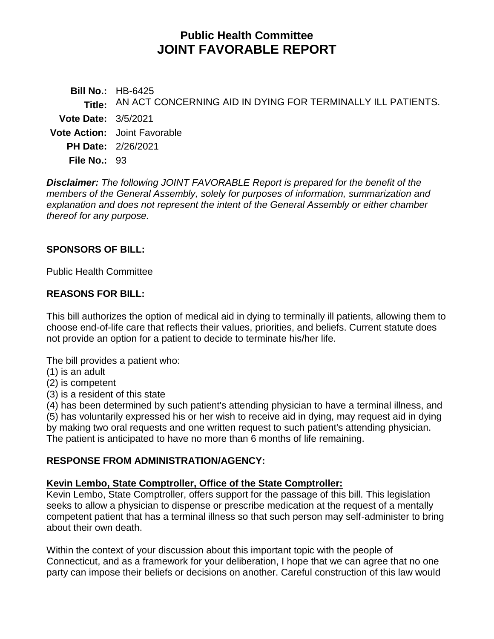# **Public Health Committee JOINT FAVORABLE REPORT**

**Bill No.:** HB-6425 **Title:** AN ACT CONCERNING AID IN DYING FOR TERMINALLY ILL PATIENTS. **Vote Date:** 3/5/2021 **Vote Action:** Joint Favorable **PH Date:** 2/26/2021 **File No.:** 93

*Disclaimer: The following JOINT FAVORABLE Report is prepared for the benefit of the members of the General Assembly, solely for purposes of information, summarization and explanation and does not represent the intent of the General Assembly or either chamber thereof for any purpose.*

### **SPONSORS OF BILL:**

Public Health Committee

### **REASONS FOR BILL:**

This bill authorizes the option of medical aid in dying to terminally ill patients, allowing them to choose end-of-life care that reflects their values, priorities, and beliefs. Current statute does not provide an option for a patient to decide to terminate his/her life.

The bill provides a patient who:

- (1) is an adult
- (2) is competent
- (3) is a resident of this state

(4) has been determined by such patient's attending physician to have a terminal illness, and (5) has voluntarily expressed his or her wish to receive aid in dying, may request aid in dying by making two oral requests and one written request to such patient's attending physician. The patient is anticipated to have no more than 6 months of life remaining.

#### **RESPONSE FROM ADMINISTRATION/AGENCY:**

# **Kevin Lembo, State Comptroller, Office of the State Comptroller:**

Kevin Lembo, State Comptroller, offers support for the passage of this bill. This legislation seeks to allow a physician to dispense or prescribe medication at the request of a mentally competent patient that has a terminal illness so that such person may self-administer to bring about their own death.

Within the context of your discussion about this important topic with the people of Connecticut, and as a framework for your deliberation, I hope that we can agree that no one party can impose their beliefs or decisions on another. Careful construction of this law would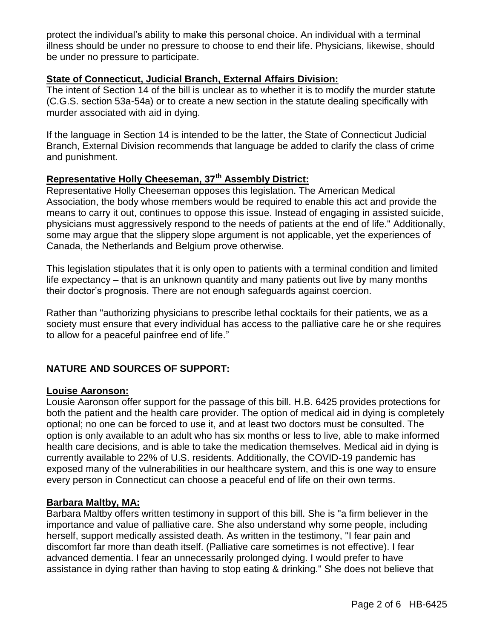protect the individual's ability to make this personal choice. An individual with a terminal illness should be under no pressure to choose to end their life. Physicians, likewise, should be under no pressure to participate.

#### **State of Connecticut, Judicial Branch, External Affairs Division:**

The intent of Section 14 of the bill is unclear as to whether it is to modify the murder statute (C.G.S. section 53a-54a) or to create a new section in the statute dealing specifically with murder associated with aid in dying.

If the language in Section 14 is intended to be the latter, the State of Connecticut Judicial Branch, External Division recommends that language be added to clarify the class of crime and punishment.

# **Representative Holly Cheeseman, 37th Assembly District:**

Representative Holly Cheeseman opposes this legislation. The American Medical Association, the body whose members would be required to enable this act and provide the means to carry it out, continues to oppose this issue. Instead of engaging in assisted suicide, physicians must aggressively respond to the needs of patients at the end of life." Additionally, some may argue that the slippery slope argument is not applicable, yet the experiences of Canada, the Netherlands and Belgium prove otherwise.

This legislation stipulates that it is only open to patients with a terminal condition and limited life expectancy – that is an unknown quantity and many patients out live by many months their doctor's prognosis. There are not enough safeguards against coercion.

Rather than "authorizing physicians to prescribe lethal cocktails for their patients, we as a society must ensure that every individual has access to the palliative care he or she requires to allow for a peaceful painfree end of life."

# **NATURE AND SOURCES OF SUPPORT:**

#### **Louise Aaronson:**

Lousie Aaronson offer support for the passage of this bill. H.B. 6425 provides protections for both the patient and the health care provider. The option of medical aid in dying is completely optional; no one can be forced to use it, and at least two doctors must be consulted. The option is only available to an adult who has six months or less to live, able to make informed health care decisions, and is able to take the medication themselves. Medical aid in dying is currently available to 22% of U.S. residents. Additionally, the COVID-19 pandemic has exposed many of the vulnerabilities in our healthcare system, and this is one way to ensure every person in Connecticut can choose a peaceful end of life on their own terms.

#### **Barbara Maltby, MA:**

Barbara Maltby offers written testimony in support of this bill. She is "a firm believer in the importance and value of palliative care. She also understand why some people, including herself, support medically assisted death. As written in the testimony, "I fear pain and discomfort far more than death itself. (Palliative care sometimes is not effective). I fear advanced dementia. I fear an unnecessarily prolonged dying. I would prefer to have assistance in dying rather than having to stop eating & drinking." She does not believe that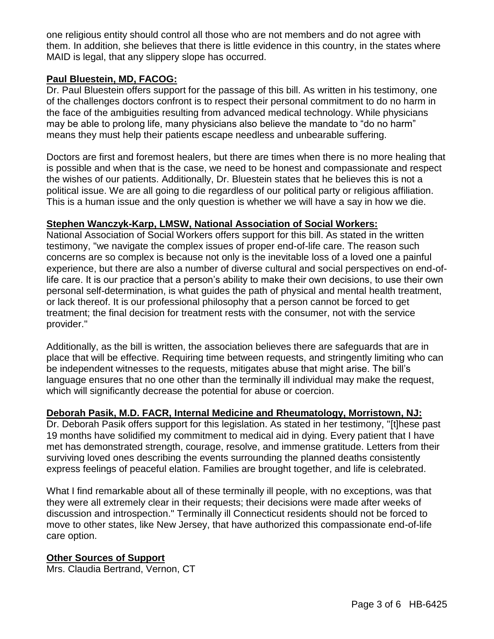one religious entity should control all those who are not members and do not agree with them. In addition, she believes that there is little evidence in this country, in the states where MAID is legal, that any slippery slope has occurred.

#### **Paul Bluestein, MD, FACOG:**

Dr. Paul Bluestein offers support for the passage of this bill. As written in his testimony, one of the challenges doctors confront is to respect their personal commitment to do no harm in the face of the ambiguities resulting from advanced medical technology. While physicians may be able to prolong life, many physicians also believe the mandate to "do no harm" means they must help their patients escape needless and unbearable suffering.

Doctors are first and foremost healers, but there are times when there is no more healing that is possible and when that is the case, we need to be honest and compassionate and respect the wishes of our patients. Additionally, Dr. Bluestein states that he believes this is not a political issue. We are all going to die regardless of our political party or religious affiliation. This is a human issue and the only question is whether we will have a say in how we die.

#### **Stephen Wanczyk-Karp, LMSW, National Association of Social Workers:**

National Association of Social Workers offers support for this bill. As stated in the written testimony, "we navigate the complex issues of proper end-of-life care. The reason such concerns are so complex is because not only is the inevitable loss of a loved one a painful experience, but there are also a number of diverse cultural and social perspectives on end-oflife care. It is our practice that a person's ability to make their own decisions, to use their own personal self-determination, is what guides the path of physical and mental health treatment, or lack thereof. It is our professional philosophy that a person cannot be forced to get treatment; the final decision for treatment rests with the consumer, not with the service provider."

Additionally, as the bill is written, the association believes there are safeguards that are in place that will be effective. Requiring time between requests, and stringently limiting who can be independent witnesses to the requests, mitigates abuse that might arise. The bill's language ensures that no one other than the terminally ill individual may make the request, which will significantly decrease the potential for abuse or coercion.

#### **Deborah Pasik, M.D. FACR, Internal Medicine and Rheumatology, Morristown, NJ:**

Dr. Deborah Pasik offers support for this legislation. As stated in her testimony, "[t]hese past 19 months have solidified my commitment to medical aid in dying. Every patient that I have met has demonstrated strength, courage, resolve, and immense gratitude. Letters from their surviving loved ones describing the events surrounding the planned deaths consistently express feelings of peaceful elation. Families are brought together, and life is celebrated.

What I find remarkable about all of these terminally ill people, with no exceptions, was that they were all extremely clear in their requests; their decisions were made after weeks of discussion and introspection." Terminally ill Connecticut residents should not be forced to move to other states, like New Jersey, that have authorized this compassionate end-of-life care option.

## **Other Sources of Support**

Mrs. Claudia Bertrand, Vernon, CT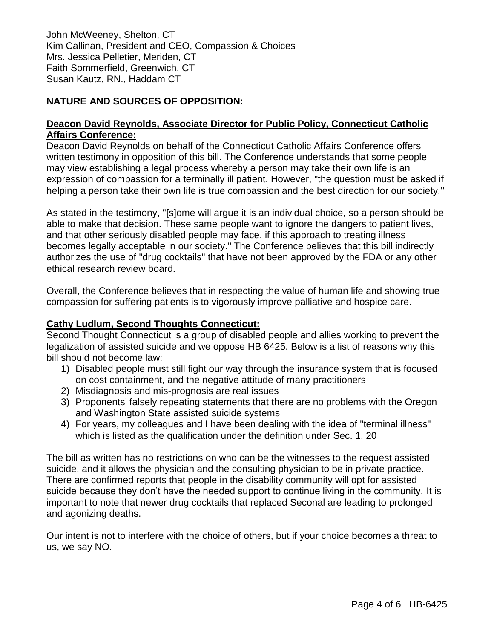John McWeeney, Shelton, CT Kim Callinan, President and CEO, Compassion & Choices Mrs. Jessica Pelletier, Meriden, CT Faith Sommerfield, Greenwich, CT Susan Kautz, RN., Haddam CT

## **NATURE AND SOURCES OF OPPOSITION:**

#### **Deacon David Reynolds, Associate Director for Public Policy, Connecticut Catholic Affairs Conference:**

Deacon David Reynolds on behalf of the Connecticut Catholic Affairs Conference offers written testimony in opposition of this bill. The Conference understands that some people may view establishing a legal process whereby a person may take their own life is an expression of compassion for a terminally ill patient. However, "the question must be asked if helping a person take their own life is true compassion and the best direction for our society."

As stated in the testimony, "[s]ome will argue it is an individual choice, so a person should be able to make that decision. These same people want to ignore the dangers to patient lives, and that other seriously disabled people may face, if this approach to treating illness becomes legally acceptable in our society." The Conference believes that this bill indirectly authorizes the use of "drug cocktails" that have not been approved by the FDA or any other ethical research review board.

Overall, the Conference believes that in respecting the value of human life and showing true compassion for suffering patients is to vigorously improve palliative and hospice care.

#### **Cathy Ludlum, Second Thoughts Connecticut:**

Second Thought Connecticut is a group of disabled people and allies working to prevent the legalization of assisted suicide and we oppose HB 6425. Below is a list of reasons why this bill should not become law:

- 1) Disabled people must still fight our way through the insurance system that is focused on cost containment, and the negative attitude of many practitioners
- 2) Misdiagnosis and mis-prognosis are real issues
- 3) Proponents' falsely repeating statements that there are no problems with the Oregon and Washington State assisted suicide systems
- 4) For years, my colleagues and I have been dealing with the idea of "terminal illness" which is listed as the qualification under the definition under Sec. 1, 20

The bill as written has no restrictions on who can be the witnesses to the request assisted suicide, and it allows the physician and the consulting physician to be in private practice. There are confirmed reports that people in the disability community will opt for assisted suicide because they don't have the needed support to continue living in the community. It is important to note that newer drug cocktails that replaced Seconal are leading to prolonged and agonizing deaths.

Our intent is not to interfere with the choice of others, but if your choice becomes a threat to us, we say NO.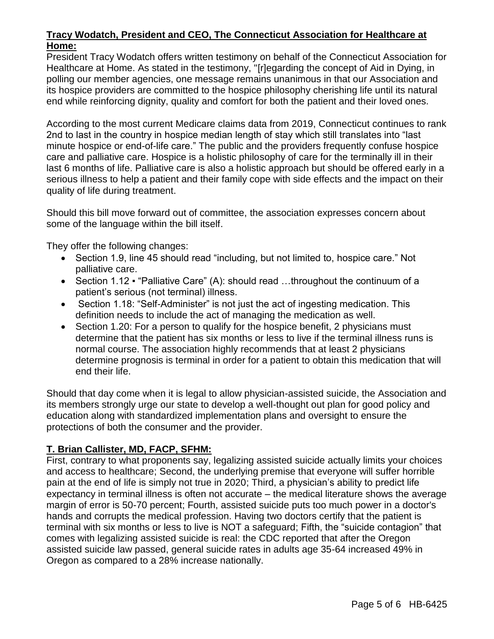### **Tracy Wodatch, President and CEO, The Connecticut Association for Healthcare at Home:**

President Tracy Wodatch offers written testimony on behalf of the Connecticut Association for Healthcare at Home. As stated in the testimony, "[r]egarding the concept of Aid in Dying, in polling our member agencies, one message remains unanimous in that our Association and its hospice providers are committed to the hospice philosophy cherishing life until its natural end while reinforcing dignity, quality and comfort for both the patient and their loved ones.

According to the most current Medicare claims data from 2019, Connecticut continues to rank 2nd to last in the country in hospice median length of stay which still translates into "last minute hospice or end-of-life care." The public and the providers frequently confuse hospice care and palliative care. Hospice is a holistic philosophy of care for the terminally ill in their last 6 months of life. Palliative care is also a holistic approach but should be offered early in a serious illness to help a patient and their family cope with side effects and the impact on their quality of life during treatment.

Should this bill move forward out of committee, the association expresses concern about some of the language within the bill itself.

They offer the following changes:

- Section 1.9, line 45 should read "including, but not limited to, hospice care." Not palliative care.
- Section 1.12 "Palliative Care" (A): should read ...throughout the continuum of a patient's serious (not terminal) illness.
- Section 1.18: "Self-Administer" is not just the act of ingesting medication. This definition needs to include the act of managing the medication as well.
- Section 1.20: For a person to qualify for the hospice benefit, 2 physicians must determine that the patient has six months or less to live if the terminal illness runs is normal course. The association highly recommends that at least 2 physicians determine prognosis is terminal in order for a patient to obtain this medication that will end their life.

Should that day come when it is legal to allow physician-assisted suicide, the Association and its members strongly urge our state to develop a well-thought out plan for good policy and education along with standardized implementation plans and oversight to ensure the protections of both the consumer and the provider.

# **T. Brian Callister, MD, FACP, SFHM:**

First, contrary to what proponents say, legalizing assisted suicide actually limits your choices and access to healthcare; Second, the underlying premise that everyone will suffer horrible pain at the end of life is simply not true in 2020; Third, a physician's ability to predict life expectancy in terminal illness is often not accurate – the medical literature shows the average margin of error is 50-70 percent; Fourth, assisted suicide puts too much power in a doctor's hands and corrupts the medical profession. Having two doctors certify that the patient is terminal with six months or less to live is NOT a safeguard; Fifth, the "suicide contagion" that comes with legalizing assisted suicide is real: the CDC reported that after the Oregon assisted suicide law passed, general suicide rates in adults age 35-64 increased 49% in Oregon as compared to a 28% increase nationally.